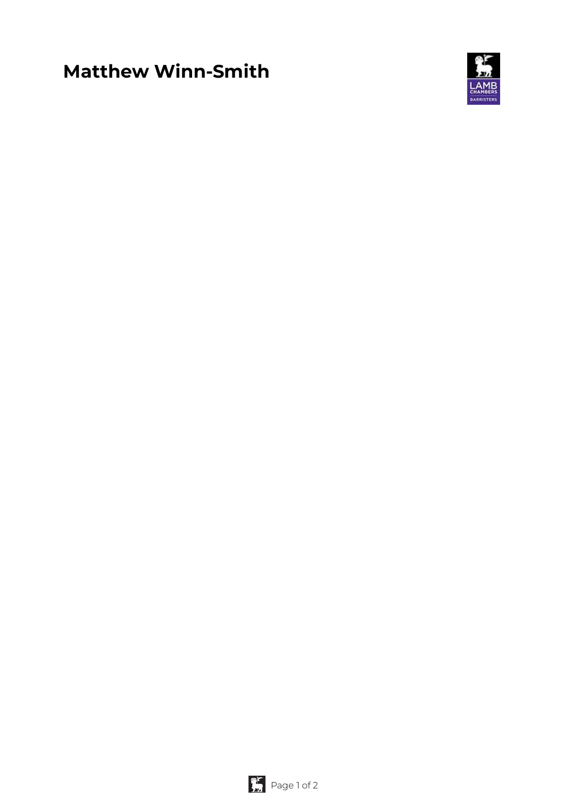# **Matthew Winn-Smith**